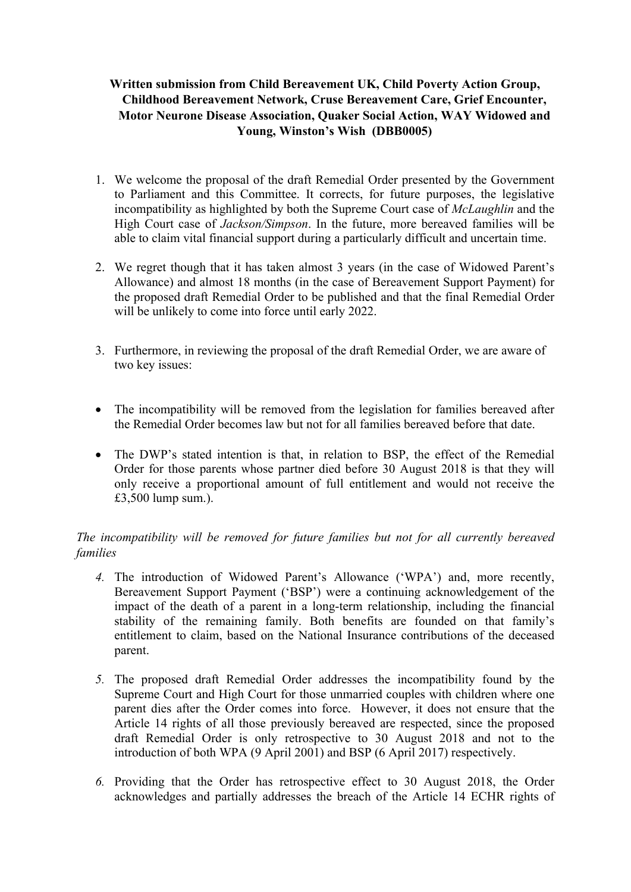## **Written submission from Child Bereavement UK, Child Poverty Action Group, Childhood Bereavement Network, Cruse Bereavement Care, Grief Encounter, Motor Neurone Disease Association, Quaker Social Action, WAY Widowed and Young, Winston's Wish (DBB0005)**

- 1. We welcome the proposal of the draft Remedial Order presented by the Government to Parliament and this Committee. It corrects, for future purposes, the legislative incompatibility as highlighted by both the Supreme Court case of *McLaughlin* and the High Court case of *Jackson/Simpson*. In the future, more bereaved families will be able to claim vital financial support during a particularly difficult and uncertain time.
- 2. We regret though that it has taken almost 3 years (in the case of Widowed Parent's Allowance) and almost 18 months (in the case of Bereavement Support Payment) for the proposed draft Remedial Order to be published and that the final Remedial Order will be unlikely to come into force until early 2022.
- 3. Furthermore, in reviewing the proposal of the draft Remedial Order, we are aware of two key issues:
- The incompatibility will be removed from the legislation for families bereaved after the Remedial Order becomes law but not for all families bereaved before that date.
- The DWP's stated intention is that, in relation to BSP, the effect of the Remedial Order for those parents whose partner died before 30 August 2018 is that they will only receive a proportional amount of full entitlement and would not receive the £3,500 lump sum.).

## *The incompatibility will be removed for future families but not for all currently bereaved families*

- *4.* The introduction of Widowed Parent's Allowance ('WPA') and, more recently, Bereavement Support Payment ('BSP') were a continuing acknowledgement of the impact of the death of a parent in a long-term relationship, including the financial stability of the remaining family. Both benefits are founded on that family's entitlement to claim, based on the National Insurance contributions of the deceased parent.
- *5.* The proposed draft Remedial Order addresses the incompatibility found by the Supreme Court and High Court for those unmarried couples with children where one parent dies after the Order comes into force. However, it does not ensure that the Article 14 rights of all those previously bereaved are respected, since the proposed draft Remedial Order is only retrospective to 30 August 2018 and not to the introduction of both WPA (9 April 2001) and BSP (6 April 2017) respectively.
- *6.* Providing that the Order has retrospective effect to 30 August 2018, the Order acknowledges and partially addresses the breach of the Article 14 ECHR rights of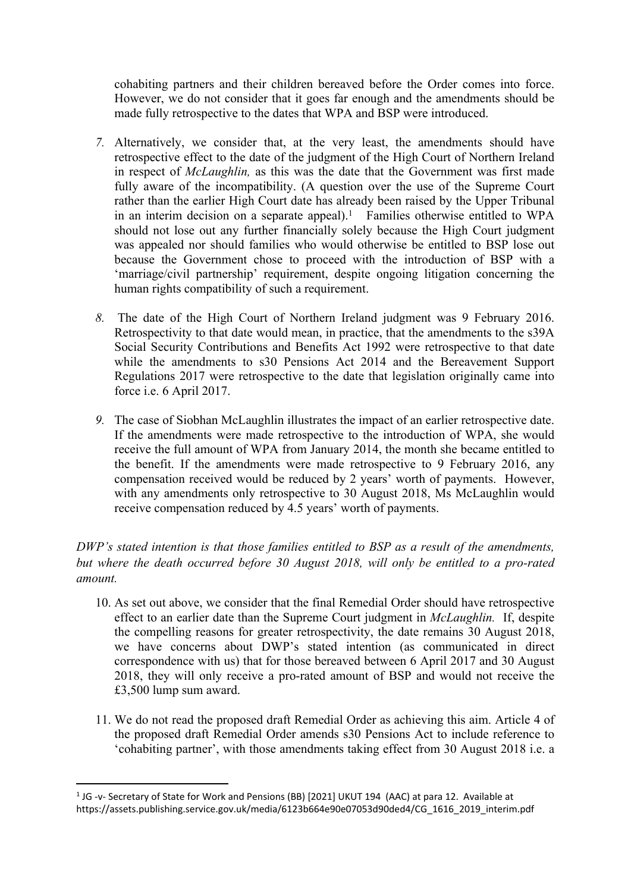cohabiting partners and their children bereaved before the Order comes into force. However, we do not consider that it goes far enough and the amendments should be made fully retrospective to the dates that WPA and BSP were introduced.

- *7.* Alternatively, we consider that, at the very least, the amendments should have retrospective effect to the date of the judgment of the High Court of Northern Ireland in respect of *McLaughlin,* as this was the date that the Government was first made fully aware of the incompatibility. (A question over the use of the Supreme Court rather than the earlier High Court date has already been raised by the Upper Tribunal in an interim decision on a separate appeal).<sup>1</sup> Families otherwise entitled to WPA should not lose out any further financially solely because the High Court judgment was appealed nor should families who would otherwise be entitled to BSP lose out because the Government chose to proceed with the introduction of BSP with a 'marriage/civil partnership' requirement, despite ongoing litigation concerning the human rights compatibility of such a requirement.
- *8.* The date of the High Court of Northern Ireland judgment was 9 February 2016. Retrospectivity to that date would mean, in practice, that the amendments to the s39A Social Security Contributions and Benefits Act 1992 were retrospective to that date while the amendments to s30 Pensions Act 2014 and the Bereavement Support Regulations 2017 were retrospective to the date that legislation originally came into force i.e. 6 April 2017.
- *9.* The case of Siobhan McLaughlin illustrates the impact of an earlier retrospective date. If the amendments were made retrospective to the introduction of WPA, she would receive the full amount of WPA from January 2014, the month she became entitled to the benefit. If the amendments were made retrospective to 9 February 2016, any compensation received would be reduced by 2 years' worth of payments. However, with any amendments only retrospective to 30 August 2018. Ms McLaughlin would receive compensation reduced by 4.5 years' worth of payments.

## *DWP's stated intention is that those families entitled to BSP as a result of the amendments, but where the death occurred before 30 August 2018, will only be entitled to a pro-rated amount.*

- 10. As set out above, we consider that the final Remedial Order should have retrospective effect to an earlier date than the Supreme Court judgment in *McLaughlin.* If, despite the compelling reasons for greater retrospectivity, the date remains 30 August 2018, we have concerns about DWP's stated intention (as communicated in direct correspondence with us) that for those bereaved between 6 April 2017 and 30 August 2018, they will only receive a pro-rated amount of BSP and would not receive the £3,500 lump sum award.
- 11. We do not read the proposed draft Remedial Order as achieving this aim. Article 4 of the proposed draft Remedial Order amends s30 Pensions Act to include reference to 'cohabiting partner', with those amendments taking effect from 30 August 2018 i.e. a

<sup>1</sup> JG -v- Secretary of State for Work and Pensions (BB) [2021] UKUT 194 (AAC) at para 12. Available at https://assets.publishing.service.gov.uk/media/6123b664e90e07053d90ded4/CG\_1616\_2019\_interim.pdf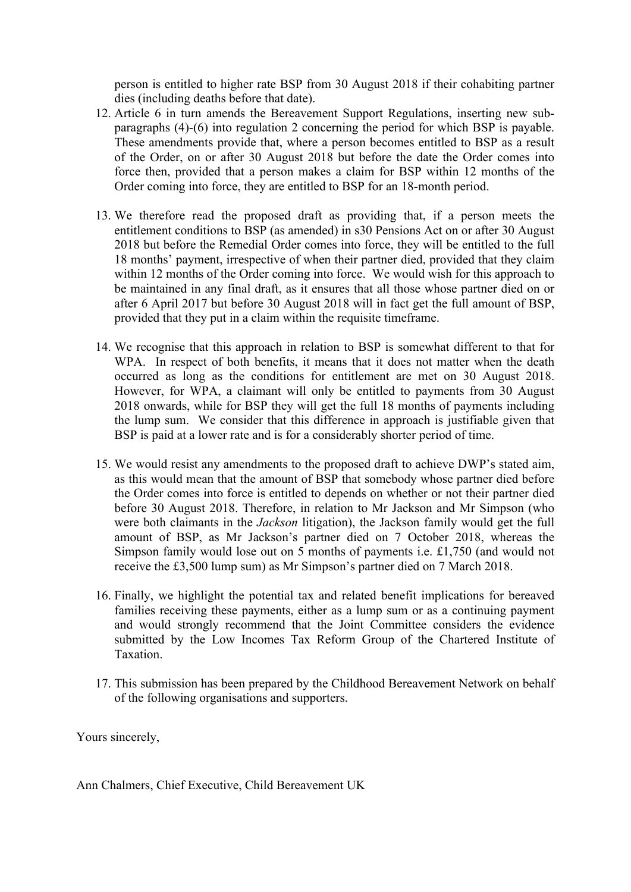person is entitled to higher rate BSP from 30 August 2018 if their cohabiting partner dies (including deaths before that date).

- 12. Article 6 in turn amends the Bereavement Support Regulations, inserting new subparagraphs (4)-(6) into regulation 2 concerning the period for which BSP is payable. These amendments provide that, where a person becomes entitled to BSP as a result of the Order, on or after 30 August 2018 but before the date the Order comes into force then, provided that a person makes a claim for BSP within 12 months of the Order coming into force, they are entitled to BSP for an 18-month period.
- 13. We therefore read the proposed draft as providing that, if a person meets the entitlement conditions to BSP (as amended) in s30 Pensions Act on or after 30 August 2018 but before the Remedial Order comes into force, they will be entitled to the full 18 months' payment, irrespective of when their partner died, provided that they claim within 12 months of the Order coming into force. We would wish for this approach to be maintained in any final draft, as it ensures that all those whose partner died on or after 6 April 2017 but before 30 August 2018 will in fact get the full amount of BSP, provided that they put in a claim within the requisite timeframe.
- 14. We recognise that this approach in relation to BSP is somewhat different to that for WPA. In respect of both benefits, it means that it does not matter when the death occurred as long as the conditions for entitlement are met on 30 August 2018. However, for WPA, a claimant will only be entitled to payments from 30 August 2018 onwards, while for BSP they will get the full 18 months of payments including the lump sum. We consider that this difference in approach is justifiable given that BSP is paid at a lower rate and is for a considerably shorter period of time.
- 15. We would resist any amendments to the proposed draft to achieve DWP's stated aim, as this would mean that the amount of BSP that somebody whose partner died before the Order comes into force is entitled to depends on whether or not their partner died before 30 August 2018. Therefore, in relation to Mr Jackson and Mr Simpson (who were both claimants in the *Jackson* litigation), the Jackson family would get the full amount of BSP, as Mr Jackson's partner died on 7 October 2018, whereas the Simpson family would lose out on 5 months of payments i.e. £1,750 (and would not receive the £3,500 lump sum) as Mr Simpson's partner died on 7 March 2018.
- 16. Finally, we highlight the potential tax and related benefit implications for bereaved families receiving these payments, either as a lump sum or as a continuing payment and would strongly recommend that the Joint Committee considers the evidence submitted by the Low Incomes Tax Reform Group of the Chartered Institute of Taxation.
- 17. This submission has been prepared by the Childhood Bereavement Network on behalf of the following organisations and supporters.

Yours sincerely,

Ann Chalmers, Chief Executive, Child Bereavement UK